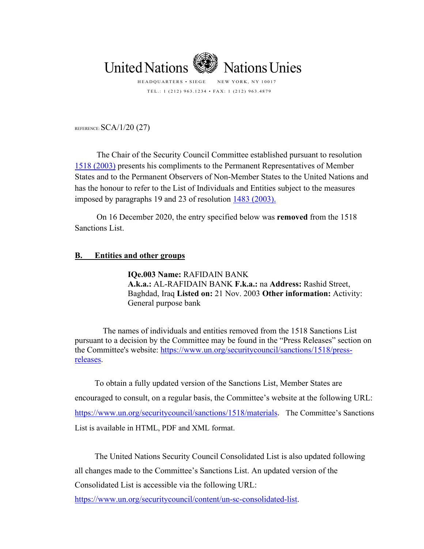

TEL.: 1 (212) 963.1234 • FAX: 1 (212) 963.4879

REFERENCE: SCA/1/20 (27)

The Chair of the Security Council Committee established pursuant to resolution [1518 \(2003\)](http://www.un.org/ga/search/view_doc.asp?symbol=S/RES/1518(2003)&Lang=S) presents his compliments to the Permanent Representatives of Member States and to the Permanent Observers of Non-Member States to the United Nations and has the honour to refer to the List of Individuals and Entities subject to the measures imposed by paragraphs 19 and 23 of resolution [1483 \(2003\).](http://www.un.org/ga/search/view_doc.asp?symbol=S/RES/1483%20%282003%29)

On 16 December 2020, the entry specified below was **removed** from the 1518 Sanctions List.

## **B. Entities and other groups**

**IQe.003 Name:** RAFIDAIN BANK **A.k.a.:** AL-RAFIDAIN BANK **F.k.a.:** na **Address:** Rashid Street, Baghdad, Iraq **Listed on:** 21 Nov. 2003 **Other information:** Activity: General purpose bank

The names of individuals and entities removed from the 1518 Sanctions List pursuant to a decision by the Committee may be found in the "Press Releases" section on the Committee's website: [https://www.un.org/securitycouncil/sanctions/1518/press](https://www.un.org/securitycouncil/sanctions/1518/press-releases)[releases.](https://www.un.org/securitycouncil/sanctions/1518/press-releases)

To obtain a fully updated version of the Sanctions List, Member States are encouraged to consult, on a regular basis, the Committee's website at the following URL: <https://www.un.org/securitycouncil/sanctions/1518/materials>. The Committee's Sanctions List is available in HTML, PDF and XML format.

The United Nations Security Council Consolidated List is also updated following all changes made to the Committee's Sanctions List. An updated version of the Consolidated List is accessible via the following URL:

[https://www.un.org/securitycouncil/content/un-sc-consolidated-list.](https://www.un.org/securitycouncil/content/un-sc-consolidated-list)